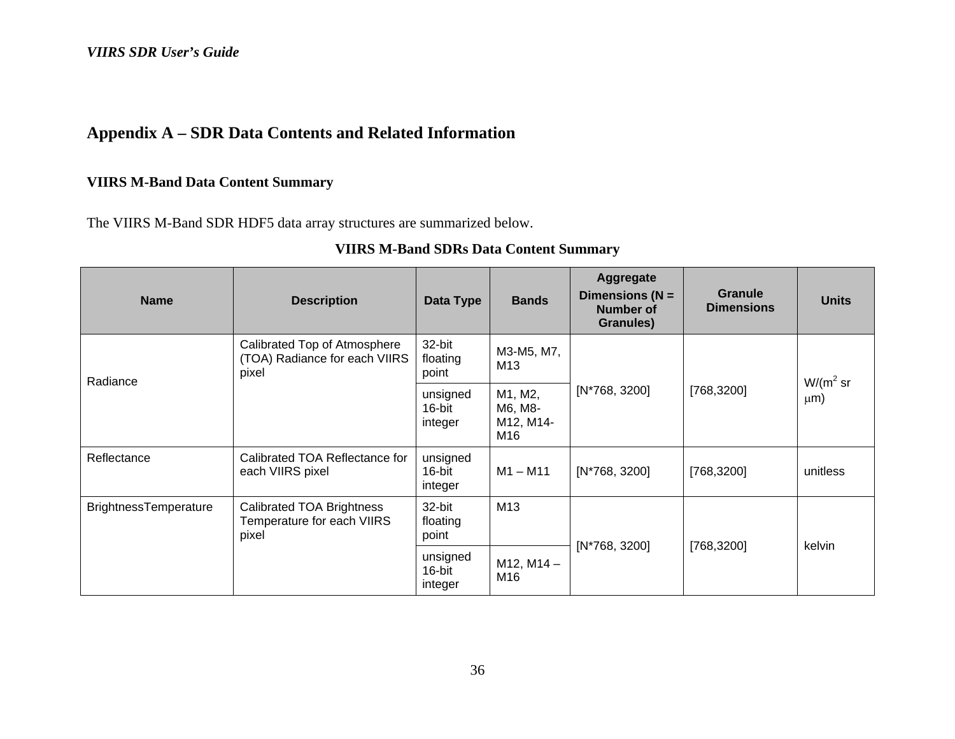# **Appendix A – SDR Data Contents and Related Information**

### **VIIRS M-Band Data Content Summary**

The VIIRS M-Band SDR HDF5 data array structures are summarized below.

| <b>Name</b>                  | <b>Description</b>                                                     | Data Type                          | <b>Bands</b>                                                                   | Aggregate<br>Dimensions ( $N =$<br><b>Number of</b><br>Granules) | <b>Granule</b><br><b>Dimensions</b> | <b>Units</b>  |
|------------------------------|------------------------------------------------------------------------|------------------------------------|--------------------------------------------------------------------------------|------------------------------------------------------------------|-------------------------------------|---------------|
| Radiance                     | Calibrated Top of Atmosphere<br>(TOA) Radiance for each VIIRS<br>pixel | 32-bit<br>floating<br>point        | M3-M5, M7,<br>M13<br>$[N*768, 3200]$<br>M1, M2,<br>M6, M8-<br>M12, M14-<br>M16 |                                                                  |                                     | $W/(m^2 s r)$ |
|                              |                                                                        | unsigned<br>16-bit<br>integer      |                                                                                |                                                                  |                                     |               |
| Reflectance                  | Calibrated TOA Reflectance for<br>each VIIRS pixel                     | unsigned<br>16-bit<br>integer      | $M1 - M11$                                                                     | [N*768, 3200]                                                    | [768, 3200]                         | unitless      |
| <b>BrightnessTemperature</b> | Calibrated TOA Brightness<br>Temperature for each VIIRS<br>pixel       | M13<br>32-bit<br>floating<br>point |                                                                                |                                                                  |                                     | kelvin        |
|                              | unsigned<br>16-bit<br>integer                                          |                                    | $M12$ , $M14 -$<br>M16                                                         | $[N*768, 3200]$                                                  | [768, 3200]                         |               |

### **VIIRS M-Band SDRs Data Content Summary**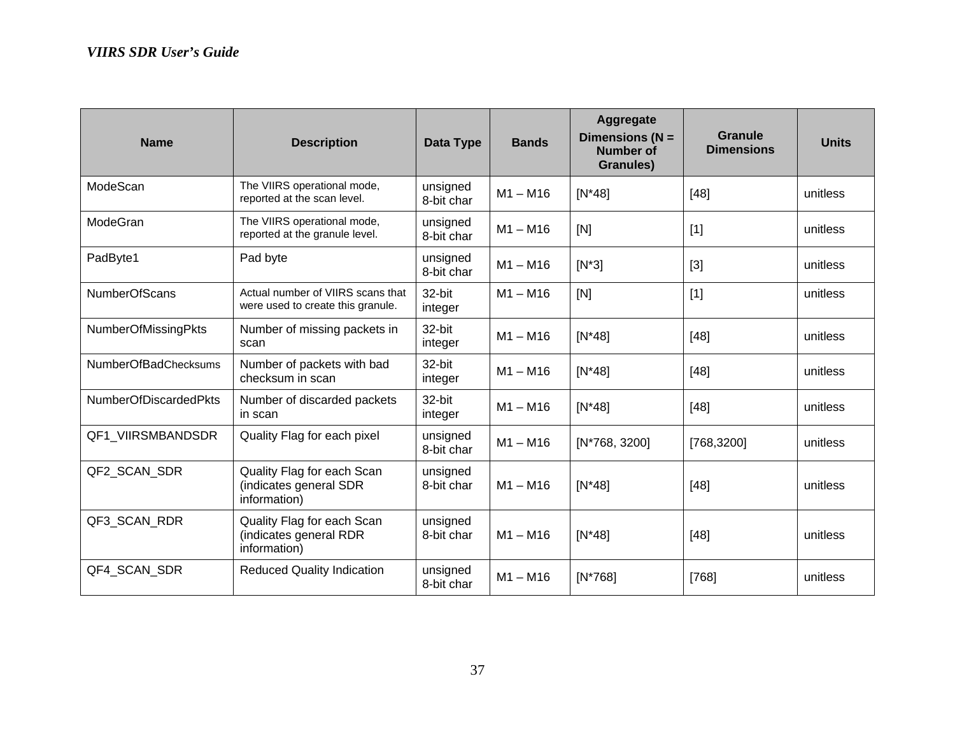| <b>Name</b>                  | <b>Description</b>                                                     | Data Type              | <b>Bands</b> | Aggregate<br>Dimensions $(N =$<br><b>Number of</b><br>Granules) | Granule<br><b>Dimensions</b> | <b>Units</b> |
|------------------------------|------------------------------------------------------------------------|------------------------|--------------|-----------------------------------------------------------------|------------------------------|--------------|
| ModeScan                     | The VIIRS operational mode,<br>reported at the scan level.             | unsigned<br>8-bit char | $M1 - M16$   | $[N^*48]$                                                       | [48]                         | unitless     |
| ModeGran                     | The VIIRS operational mode,<br>reported at the granule level.          | unsigned<br>8-bit char | $M1 - M16$   | [N]                                                             | $[1]$                        | unitless     |
| PadByte1                     | Pad byte                                                               | unsigned<br>8-bit char | $M1 - M16$   | $[N^*3]$                                                        | $[3]$                        | unitless     |
| <b>NumberOfScans</b>         | Actual number of VIIRS scans that<br>were used to create this granule. | 32-bit<br>integer      | $M1 - M16$   | [N]                                                             | $[1]$                        | unitless     |
| NumberOfMissingPkts          | Number of missing packets in<br>scan                                   | 32-bit<br>integer      | $M1 - M16$   | $[N^*48]$                                                       | [48]                         | unitless     |
| <b>NumberOfBadChecksums</b>  | Number of packets with bad<br>checksum in scan                         | 32-bit<br>integer      | $M1 - M16$   | $[N^*48]$                                                       | [48]                         | unitless     |
| <b>NumberOfDiscardedPkts</b> | Number of discarded packets<br>in scan                                 | 32-bit<br>integer      | $M1 - M16$   | $[N^*48]$                                                       | [48]                         | unitless     |
| QF1 VIIRSMBANDSDR            | Quality Flag for each pixel                                            | unsigned<br>8-bit char | $M1 - M16$   | [N*768, 3200]                                                   | [768,3200]                   | unitless     |
| QF2 SCAN SDR                 | Quality Flag for each Scan<br>(indicates general SDR<br>information)   | unsigned<br>8-bit char | $M1 - M16$   | $[N*48]$                                                        | [48]                         | unitless     |
| QF3_SCAN_RDR                 | Quality Flag for each Scan<br>(indicates general RDR<br>information)   | unsigned<br>8-bit char | $M1 - M16$   | $[N^*48]$                                                       | $[48]$                       | unitless     |
| QF4_SCAN_SDR                 | <b>Reduced Quality Indication</b>                                      | unsigned<br>8-bit char | $M1 - M16$   | $[N*768]$                                                       | [768]                        | unitless     |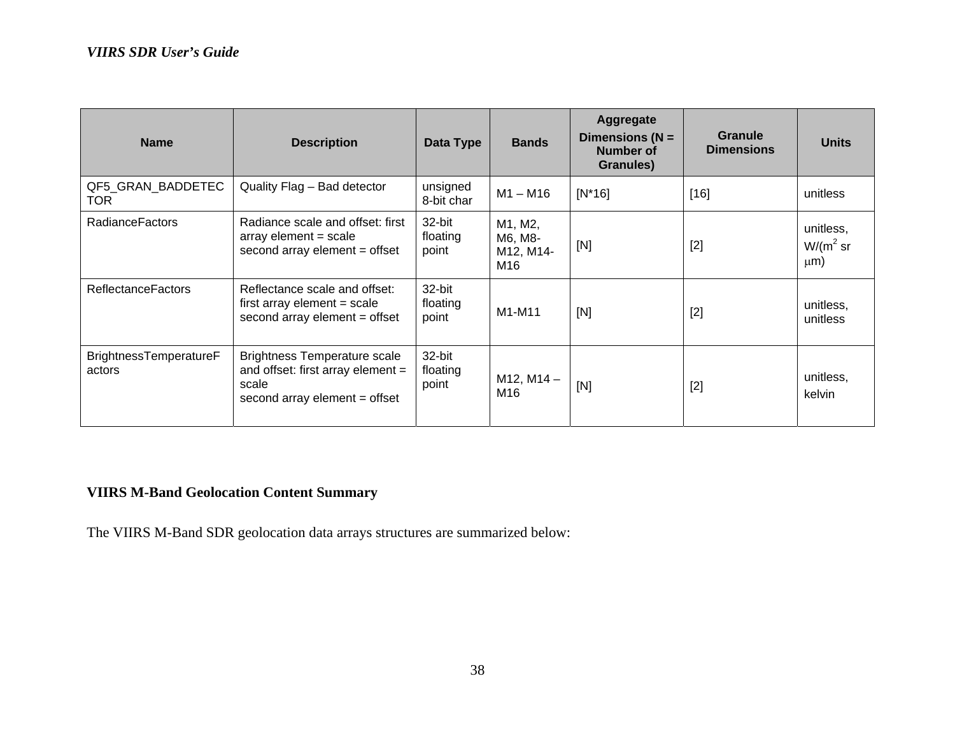| <b>Name</b>                      | <b>Description</b>                                                                                                 | Data Type                   | <b>Bands</b>                           | Aggregate<br>Dimensions ( $N =$<br>Number of<br>Granules) | <b>Granule</b><br><b>Dimensions</b> | <b>Units</b>                           |
|----------------------------------|--------------------------------------------------------------------------------------------------------------------|-----------------------------|----------------------------------------|-----------------------------------------------------------|-------------------------------------|----------------------------------------|
| QF5_GRAN_BADDETEC<br>TOR.        | Quality Flag - Bad detector                                                                                        | unsigned<br>8-bit char      | $M1 - M16$                             | $[N^*16]$                                                 | $[16]$                              | unitless                               |
| <b>RadianceFactors</b>           | Radiance scale and offset: first<br>$array element = scale$<br>second array element = offset                       | 32-bit<br>floating<br>point | M1, M2,<br>M6, M8-<br>M12, M14-<br>M16 | [N]                                                       | $[2]$                               | unitless,<br>$W/(m^2 s r)$<br>$\mu$ m) |
| <b>ReflectanceFactors</b>        | Reflectance scale and offset:<br>first array element $=$ scale<br>second array element = offset                    | 32-bit<br>floating<br>point | M1-M11                                 | [N]                                                       | $[2]$                               | unitless,<br>unitless                  |
| BrightnessTemperatureF<br>actors | <b>Brightness Temperature scale</b><br>and offset: first array element =<br>scale<br>second array element = offset | 32-bit<br>floating<br>point | $M12, M14 -$<br>M16                    | [N]                                                       | $[2]$                               | unitless,<br>kelvin                    |

### **VIIRS M-Band Geolocation Content Summary**

The VIIRS M-Band SDR geolocation data arrays structures are summarized below: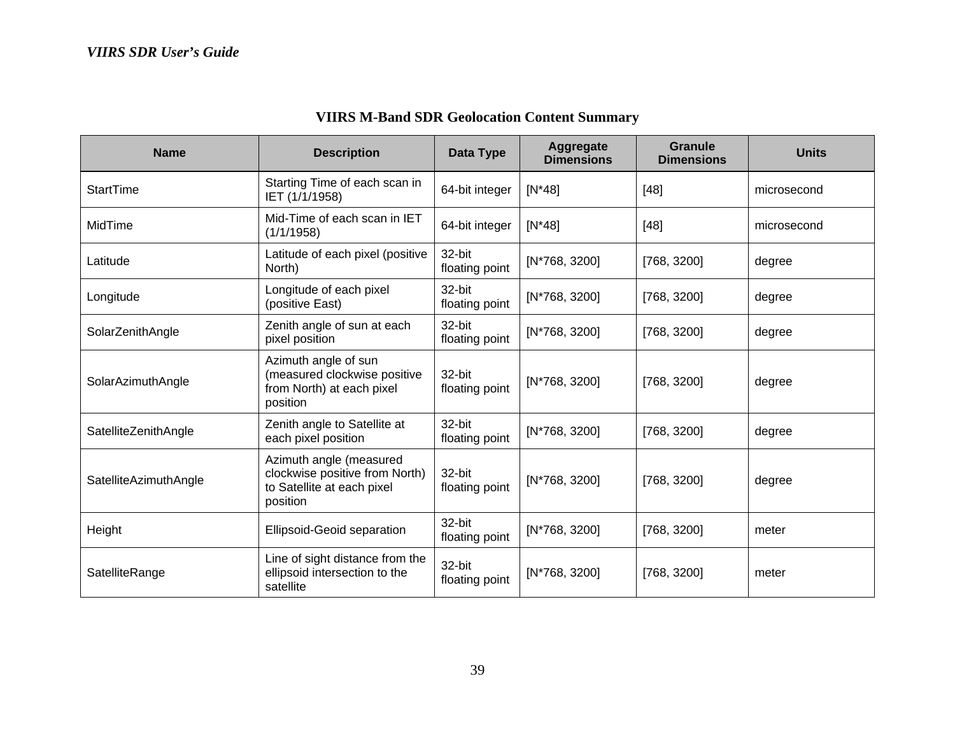| <b>Name</b>           | <b>Description</b>                                                                                  | Data Type                | Aggregate<br><b>Dimensions</b> | <b>Granule</b><br><b>Dimensions</b> | <b>Units</b> |
|-----------------------|-----------------------------------------------------------------------------------------------------|--------------------------|--------------------------------|-------------------------------------|--------------|
| <b>StartTime</b>      | Starting Time of each scan in<br>IET (1/1/1958)                                                     | 64-bit integer           | $[N*48]$                       | $[48]$                              | microsecond  |
| MidTime               | Mid-Time of each scan in IET<br>(1/1/1958)                                                          | 64-bit integer           | $[N*48]$                       | $[48]$                              | microsecond  |
| Latitude              | Latitude of each pixel (positive<br>North)                                                          | 32-bit<br>floating point | [N*768, 3200]                  | [768, 3200]                         | degree       |
| Longitude             | Longitude of each pixel<br>(positive East)                                                          | 32-bit<br>floating point | [N*768, 3200]                  | [768, 3200]                         | degree       |
| SolarZenithAngle      | Zenith angle of sun at each<br>pixel position                                                       | 32-bit<br>floating point | [N*768, 3200]                  | [768, 3200]                         | degree       |
| SolarAzimuthAngle     | Azimuth angle of sun<br>(measured clockwise positive<br>from North) at each pixel<br>position       | 32-bit<br>floating point | [N*768, 3200]                  | [768, 3200]                         | degree       |
| SatelliteZenithAngle  | Zenith angle to Satellite at<br>each pixel position                                                 | 32-bit<br>floating point | [N*768, 3200]                  | [768, 3200]                         | degree       |
| SatelliteAzimuthAngle | Azimuth angle (measured<br>clockwise positive from North)<br>to Satellite at each pixel<br>position | 32-bit<br>floating point | [N*768, 3200]                  | [768, 3200]                         | degree       |
| Height                | <b>Ellipsoid-Geoid separation</b>                                                                   | 32-bit<br>floating point | $[N*768, 3200]$                | [768, 3200]                         | meter        |
| SatelliteRange        | Line of sight distance from the<br>ellipsoid intersection to the<br>satellite                       | 32-bit<br>floating point | [N*768, 3200]                  | [768, 3200]                         | meter        |

# **VIIRS M-Band SDR Geolocation Content Summary**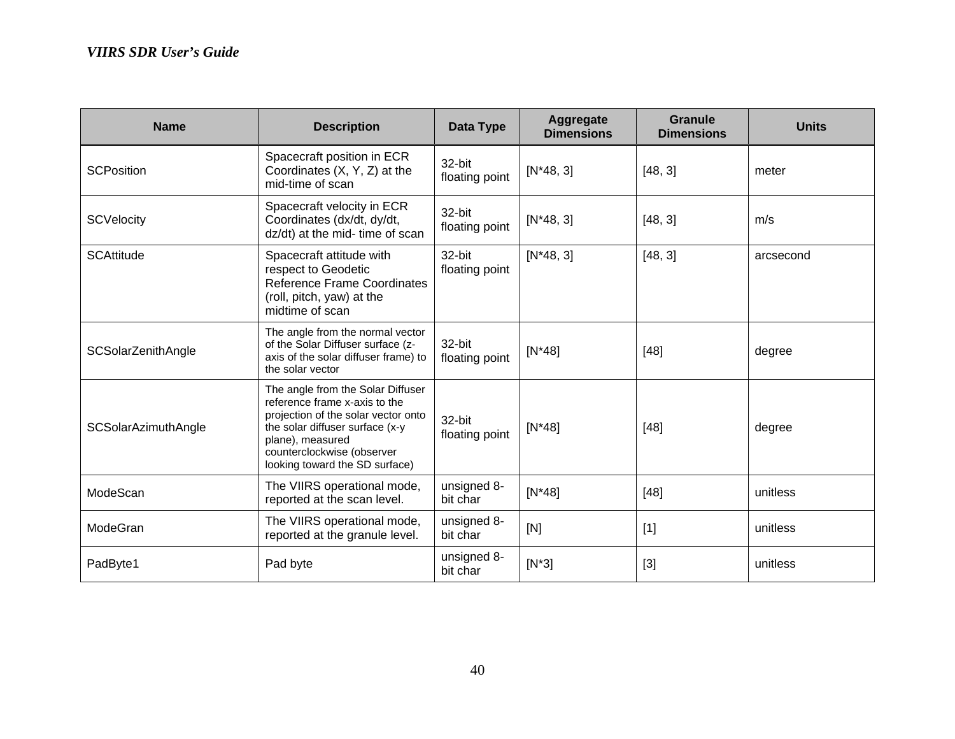| <b>Name</b>                | <b>Description</b>                                                                                                                                                                                                               | Data Type                | Aggregate<br><b>Dimensions</b> | <b>Granule</b><br><b>Dimensions</b> | <b>Units</b> |
|----------------------------|----------------------------------------------------------------------------------------------------------------------------------------------------------------------------------------------------------------------------------|--------------------------|--------------------------------|-------------------------------------|--------------|
| <b>SCPosition</b>          | Spacecraft position in ECR<br>Coordinates (X, Y, Z) at the<br>mid-time of scan                                                                                                                                                   | 32-bit<br>floating point | $[N*48, 3]$                    | [48, 3]                             | meter        |
| <b>SCVelocity</b>          | Spacecraft velocity in ECR<br>Coordinates (dx/dt, dy/dt,<br>dz/dt) at the mid- time of scan                                                                                                                                      | 32-bit<br>floating point | $[N*48, 3]$                    | [48, 3]                             | m/s          |
| <b>SCAttitude</b>          | Spacecraft attitude with<br>respect to Geodetic<br>Reference Frame Coordinates<br>(roll, pitch, yaw) at the<br>midtime of scan                                                                                                   | 32-bit<br>floating point | $[N*48, 3]$                    | [48, 3]                             | arcsecond    |
| SCSolarZenithAngle         | The angle from the normal vector<br>of the Solar Diffuser surface (z-<br>axis of the solar diffuser frame) to<br>the solar vector                                                                                                | 32-bit<br>floating point | $[N*48]$                       | $[48]$                              | degree       |
| <b>SCSolarAzimuthAngle</b> | The angle from the Solar Diffuser<br>reference frame x-axis to the<br>projection of the solar vector onto<br>the solar diffuser surface (x-y<br>plane), measured<br>counterclockwise (observer<br>looking toward the SD surface) | 32-bit<br>floating point | $[N*48]$                       | [48]                                | degree       |
| ModeScan                   | The VIIRS operational mode,<br>reported at the scan level.                                                                                                                                                                       | unsigned 8-<br>bit char  | $[N*48]$                       | $[48]$                              | unitless     |
| ModeGran                   | The VIIRS operational mode,<br>reported at the granule level.                                                                                                                                                                    | unsigned 8-<br>bit char  | [N]                            | $[1]$                               | unitless     |
| PadByte1                   | Pad byte                                                                                                                                                                                                                         | unsigned 8-<br>bit char  | $[N^*3]$                       | $[3]$                               | unitless     |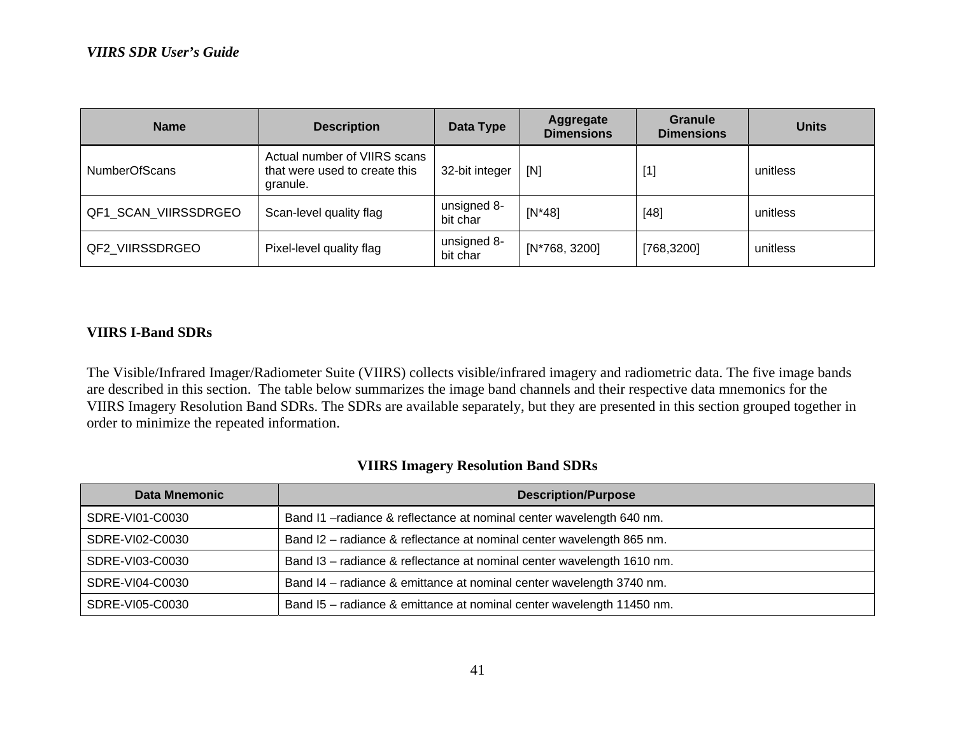| <b>Name</b>          | <b>Description</b>                                                        | Data Type               | Aggregate<br><b>Dimensions</b> | <b>Granule</b><br><b>Dimensions</b> | <b>Units</b> |
|----------------------|---------------------------------------------------------------------------|-------------------------|--------------------------------|-------------------------------------|--------------|
| <b>NumberOfScans</b> | Actual number of VIIRS scans<br>that were used to create this<br>granule. | 32-bit integer          | [N]                            | $[1]$                               | unitless     |
| QF1_SCAN_VIIRSSDRGEO | Scan-level quality flag                                                   | unsigned 8-<br>bit char | $[N^*48]$                      | $[48]$                              | unitless     |
| QF2 VIIRSSDRGEO      | Pixel-level quality flag                                                  | unsigned 8-<br>bit char | [N*768, 3200]                  | [768, 3200]                         | unitless     |

### **VIIRS I-Band SDRs**

The Visible/Infrared Imager/Radiometer Suite (VIIRS) collects visible/infrared imagery and radiometric data. The five image bands are described in this section. The table below summarizes the image band channels and their respective data mnemonics for the VIIRS Imagery Resolution Band SDRs. The SDRs are available separately, but they are presented in this section grouped together in order to minimize the repeated information.

### **VIIRS Imagery Resolution Band SDRs**

| <b>Data Mnemonic</b> | <b>Description/Purpose</b>                                             |
|----------------------|------------------------------------------------------------------------|
| SDRE-VI01-C0030      | Band I1-radiance & reflectance at nominal center wavelength 640 nm.    |
| SDRE-VI02-C0030      | Band I2 - radiance & reflectance at nominal center wavelength 865 nm.  |
| SDRE-VI03-C0030      | Band I3 - radiance & reflectance at nominal center wavelength 1610 nm. |
| SDRE-VI04-C0030      | Band I4 - radiance & emittance at nominal center wavelength 3740 nm.   |
| SDRE-VI05-C0030      | Band I5 - radiance & emittance at nominal center wavelength 11450 nm.  |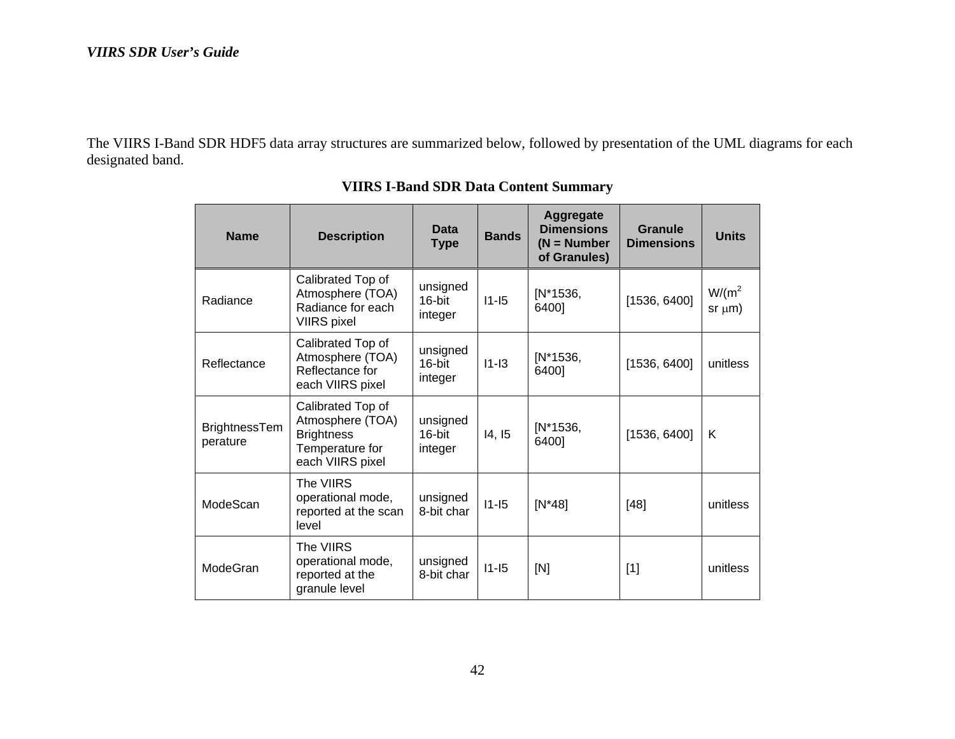The VIIRS I-Band SDR HDF5 data array structures are summarized below, followed by presentation of the UML diagrams for each designated band.

| <b>Name</b>                      | <b>Description</b>                                                                                | Data<br><b>Type</b>           | <b>Bands</b> | <b>Aggregate</b><br><b>Dimensions</b><br>$(N = Number$<br>of Granules) | Granule<br><b>Dimensions</b> | <b>Units</b>              |
|----------------------------------|---------------------------------------------------------------------------------------------------|-------------------------------|--------------|------------------------------------------------------------------------|------------------------------|---------------------------|
| Radiance                         | Calibrated Top of<br>Atmosphere (TOA)<br>Radiance for each<br><b>VIIRS</b> pixel                  | unsigned<br>16-bit<br>integer | $11-15$      | [N*1536,<br>6400]                                                      | [1536, 6400]                 | $W/(m^2)$<br>$sr \mu m$ ) |
| Reflectance                      | Calibrated Top of<br>Atmosphere (TOA)<br>Reflectance for<br>each VIIRS pixel                      | unsigned<br>16-bit<br>integer | $11-13$      | $[N*1536,$<br>6400]                                                    | [1536, 6400]                 | unitless                  |
| <b>BrightnessTem</b><br>perature | Calibrated Top of<br>Atmosphere (TOA)<br><b>Brightness</b><br>Temperature for<br>each VIIRS pixel | unsigned<br>16-bit<br>integer | 14, 15       | $[N*1536,$<br>6400]                                                    | [1536, 6400]                 | K                         |
| ModeScan                         | The VIIRS<br>operational mode,<br>reported at the scan<br>level                                   | unsigned<br>8-bit char        | $11-15$      | $[N^*48]$                                                              | $[48]$                       | unitless                  |
| ModeGran                         | The VIIRS<br>operational mode,<br>reported at the<br>granule level                                | unsigned<br>8-bit char        | $11-15$      | [N]                                                                    | $[1]$                        | unitless                  |

**VIIRS I-Band SDR Data Content Summary**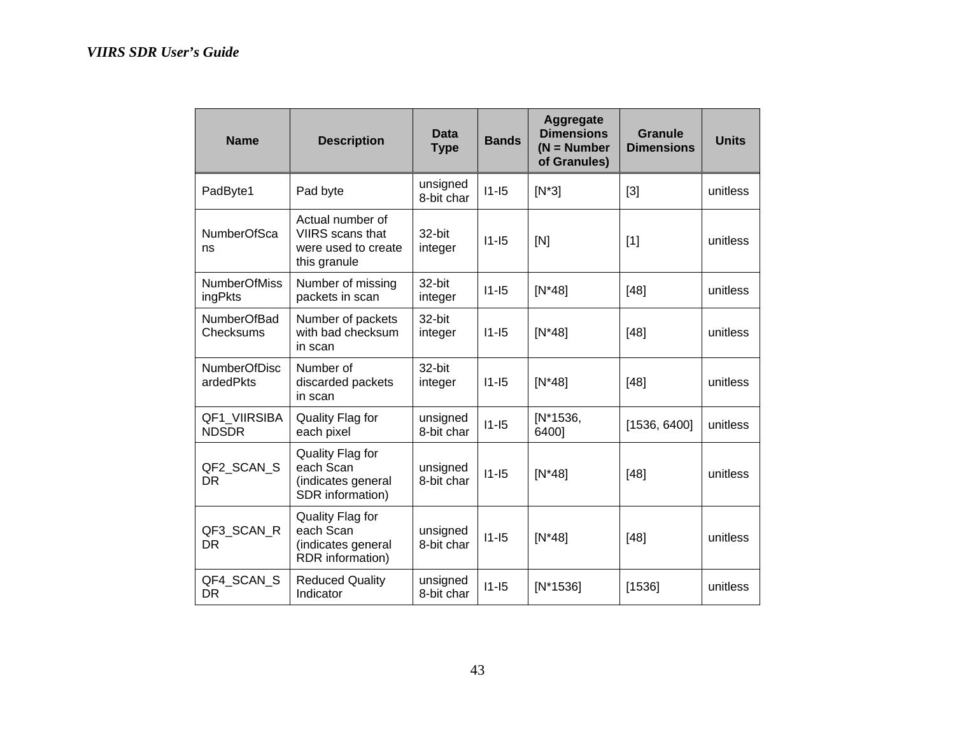| <b>Name</b>                      | <b>Description</b>                                                          | <b>Data</b><br><b>Type</b> | <b>Bands</b> | <b>Aggregate</b><br><b>Dimensions</b><br>$(N = Number$<br>of Granules) | Granule<br><b>Dimensions</b> | <b>Units</b> |
|----------------------------------|-----------------------------------------------------------------------------|----------------------------|--------------|------------------------------------------------------------------------|------------------------------|--------------|
| PadByte1                         | Pad byte                                                                    | unsigned<br>8-bit char     | $11 - 15$    | $[N^*3]$                                                               | $[3]$                        | unitless     |
| <b>NumberOfSca</b><br>ns         | Actual number of<br>VIIRS scans that<br>were used to create<br>this granule | 32-bit<br>integer          | $11 - 15$    | [N]                                                                    | $[1]$                        | unitless     |
| <b>NumberOfMiss</b><br>ingPkts   | Number of missing<br>packets in scan                                        | 32-bit<br>integer          | $11 - 15$    | $[N^*48]$                                                              | [48]                         | unitless     |
| <b>NumberOfBad</b><br>Checksums  | Number of packets<br>with bad checksum<br>in scan                           | 32-bit<br>integer          | $11 - 15$    | $[N*48]$                                                               | [48]                         | unitless     |
| <b>NumberOfDisc</b><br>ardedPkts | Number of<br>discarded packets<br>in scan                                   | 32-bit<br>integer          | $11 - 15$    | $[N^*48]$                                                              | [48]                         | unitless     |
| QF1 VIIRSIBA<br><b>NDSDR</b>     | Quality Flag for<br>each pixel                                              | unsigned<br>8-bit char     | $11 - 15$    | $[N*1536,$<br>6400]                                                    | [1536, 6400]                 | unitless     |
| QF2_SCAN_S<br><b>DR</b>          | Quality Flag for<br>each Scan<br>(indicates general<br>SDR information)     | unsigned<br>8-bit char     | $11 - 15$    | $[N^*48]$                                                              | [48]                         | unitless     |
| QF3_SCAN_R<br>DR.                | Quality Flag for<br>each Scan<br>(indicates general<br>RDR information)     | unsigned<br>8-bit char     | $11 - 15$    | $[N*48]$                                                               | [48]                         | unitless     |
| QF4_SCAN_S<br><b>DR</b>          | <b>Reduced Quality</b><br>Indicator                                         | unsigned<br>8-bit char     | $11 - 15$    | $[N*1536]$                                                             | [1536]                       | unitless     |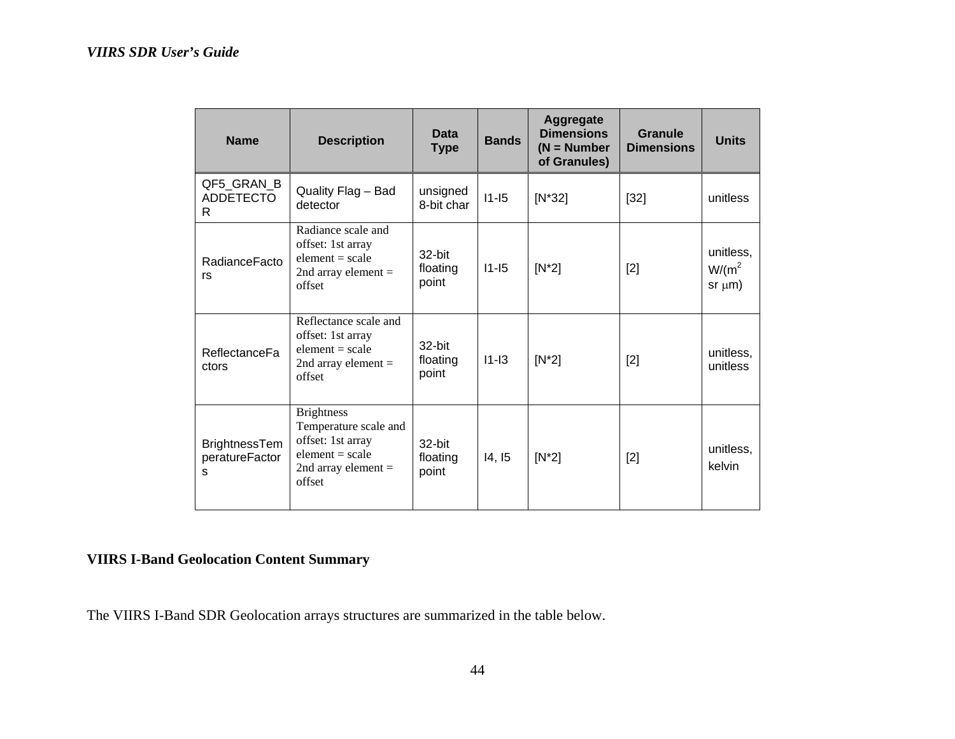| <b>Name</b>                                 | <b>Description</b>                                                                                                      | <b>Data</b><br><b>Type</b>  | <b>Bands</b> | Aggregate<br><b>Dimensions</b><br>$(N = Number$<br>of Granules) | <b>Granule</b><br><b>Dimensions</b> | <b>Units</b>                           |
|---------------------------------------------|-------------------------------------------------------------------------------------------------------------------------|-----------------------------|--------------|-----------------------------------------------------------------|-------------------------------------|----------------------------------------|
| QF5_GRAN_B<br><b>ADDETECTO</b><br>R.        | Quality Flag - Bad<br>detector                                                                                          | unsigned<br>8-bit char      | $11-15$      | $[N^*32]$                                                       | $[32]$                              | unitless                               |
| RadianceFacto<br>rs                         | Radiance scale and<br>offset: 1st array<br>element $= scale$<br>2nd array element $=$<br>offset                         | 32-bit<br>floating<br>point | $11 - 15$    | $[N^*2]$                                                        | $[2]$                               | unitless.<br>$W/(m^2)$<br>$sr \mu m$ ) |
| <b>ReflectanceFa</b><br>ctors               | Reflectance scale and<br>offset: 1st array<br>$element = scale$<br>2nd array element $=$<br>offset                      | 32-bit<br>floating<br>point | $11 - 13$    | $[N^*2]$                                                        | $[2]$                               | unitless.<br>unitless                  |
| <b>BrightnessTem</b><br>peratureFactor<br>S | <b>Brightness</b><br>Temperature scale and<br>offset: 1st array<br>$element = scale$<br>2nd array element $=$<br>offset | 32-bit<br>floating<br>point | 14, 15       | $[N^*2]$                                                        | $[2]$                               | unitless.<br>kelvin                    |

# **VIIRS I-Band Geolocation Content Summary**

The VIIRS I-Band SDR Geolocation arrays structures are summarized in the table below.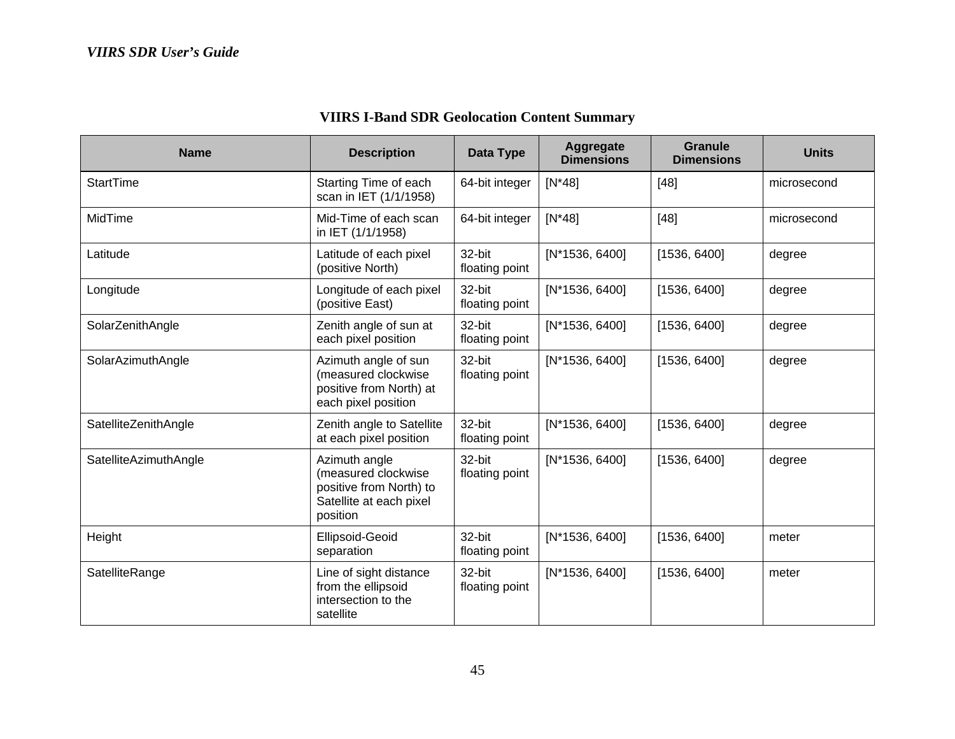| <b>Name</b>           | <b>Description</b>                                                                                     | Data Type                | Aggregate<br><b>Dimensions</b> | <b>Granule</b><br><b>Dimensions</b> | <b>Units</b> |
|-----------------------|--------------------------------------------------------------------------------------------------------|--------------------------|--------------------------------|-------------------------------------|--------------|
| <b>StartTime</b>      | Starting Time of each<br>scan in IET (1/1/1958)                                                        | 64-bit integer           | $[N^*48]$                      | $[48]$                              | microsecond  |
| MidTime               | Mid-Time of each scan<br>in IET (1/1/1958)                                                             | 64-bit integer           | $[N^*48]$                      | $[48]$                              | microsecond  |
| Latitude              | Latitude of each pixel<br>(positive North)                                                             | 32-bit<br>floating point | [N*1536, 6400]                 | [1536, 6400]                        | degree       |
| Longitude             | Longitude of each pixel<br>(positive East)                                                             | 32-bit<br>floating point | $[N*1536, 6400]$               | [1536, 6400]                        | degree       |
| SolarZenithAngle      | Zenith angle of sun at<br>each pixel position                                                          | 32-bit<br>floating point | $[N*1536, 6400]$               | [1536, 6400]                        | degree       |
| SolarAzimuthAngle     | Azimuth angle of sun<br>(measured clockwise<br>positive from North) at<br>each pixel position          | 32-bit<br>floating point | $[N*1536, 6400]$               | [1536, 6400]                        | degree       |
| SatelliteZenithAngle  | Zenith angle to Satellite<br>at each pixel position                                                    | 32-bit<br>floating point | $[N*1536, 6400]$               | [1536, 6400]                        | degree       |
| SatelliteAzimuthAngle | Azimuth angle<br>(measured clockwise<br>positive from North) to<br>Satellite at each pixel<br>position | 32-bit<br>floating point | $[N*1536, 6400]$               | [1536, 6400]                        | degree       |
| Height                | Ellipsoid-Geoid<br>separation                                                                          | 32-bit<br>floating point | [N*1536, 6400]                 | [1536, 6400]                        | meter        |
| SatelliteRange        | Line of sight distance<br>from the ellipsoid<br>intersection to the<br>satellite                       | 32-bit<br>floating point | [N*1536, 6400]                 | [1536, 6400]                        | meter        |

# **VIIRS I-Band SDR Geolocation Content Summary**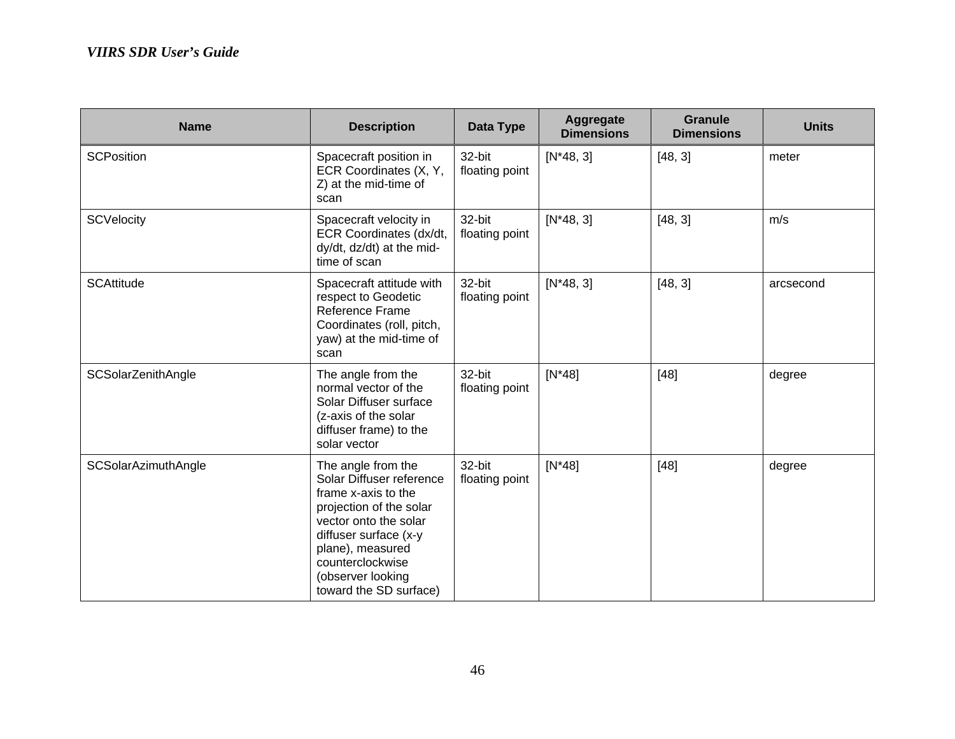| <b>Name</b>                | <b>Description</b>                                                                                                                                                                                                                        | <b>Data Type</b>         | Aggregate<br><b>Dimensions</b> | <b>Granule</b><br><b>Dimensions</b> | <b>Units</b> |
|----------------------------|-------------------------------------------------------------------------------------------------------------------------------------------------------------------------------------------------------------------------------------------|--------------------------|--------------------------------|-------------------------------------|--------------|
| <b>SCPosition</b>          | Spacecraft position in<br>ECR Coordinates (X, Y,<br>Z) at the mid-time of<br>scan                                                                                                                                                         | 32-bit<br>floating point | $[N*48, 3]$                    | [48, 3]                             | meter        |
| <b>SCVelocity</b>          | Spacecraft velocity in<br>ECR Coordinates (dx/dt,<br>dy/dt, dz/dt) at the mid-<br>time of scan                                                                                                                                            | 32-bit<br>floating point | $[N*48, 3]$                    | [48, 3]                             | m/s          |
| <b>SCAttitude</b>          | Spacecraft attitude with<br>respect to Geodetic<br>Reference Frame<br>Coordinates (roll, pitch,<br>yaw) at the mid-time of<br>scan                                                                                                        | 32-bit<br>floating point | $[N*48, 3]$                    | [48, 3]                             | arcsecond    |
| SCSolarZenithAngle         | The angle from the<br>normal vector of the<br>Solar Diffuser surface<br>(z-axis of the solar<br>diffuser frame) to the<br>solar vector                                                                                                    | 32-bit<br>floating point | $[N^*48]$                      | $[48]$                              | degree       |
| <b>SCSolarAzimuthAngle</b> | The angle from the<br>Solar Diffuser reference<br>frame x-axis to the<br>projection of the solar<br>vector onto the solar<br>diffuser surface (x-y<br>plane), measured<br>counterclockwise<br>(observer looking<br>toward the SD surface) | 32-bit<br>floating point | $[N^*48]$                      | $[48]$                              | degree       |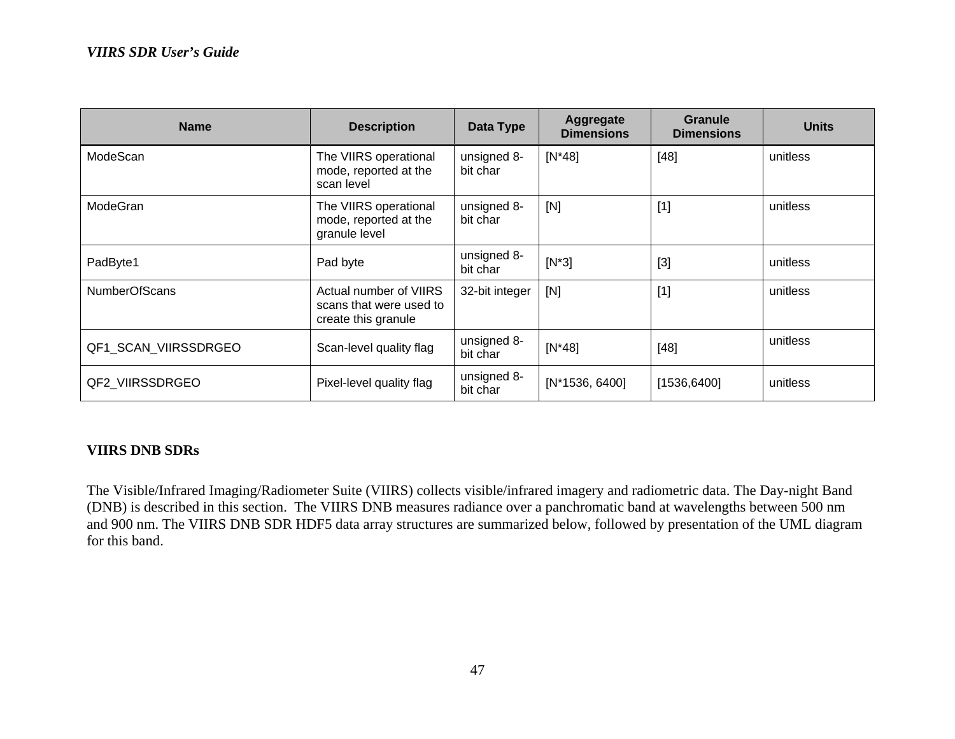| <b>Name</b>          | <b>Description</b>                                                       | Data Type               | Aggregate<br><b>Dimensions</b> | <b>Granule</b><br><b>Dimensions</b> | <b>Units</b> |
|----------------------|--------------------------------------------------------------------------|-------------------------|--------------------------------|-------------------------------------|--------------|
| ModeScan             | The VIIRS operational<br>mode, reported at the<br>scan level             | unsigned 8-<br>bit char | $[N^*48]$                      | $[48]$                              | unitless     |
| ModeGran             | The VIIRS operational<br>mode, reported at the<br>granule level          | unsigned 8-<br>bit char | [N]                            | $[1]$                               | unitless     |
| PadByte1             | Pad byte                                                                 | unsigned 8-<br>bit char | $[N^*3]$                       | $[3]$                               | unitless     |
| <b>NumberOfScans</b> | Actual number of VIIRS<br>scans that were used to<br>create this granule | 32-bit integer          | [N]                            | $[1]$                               | unitless     |
| QF1_SCAN_VIIRSSDRGEO | Scan-level quality flag                                                  | unsigned 8-<br>bit char | $[N*48]$                       | $[48]$                              | unitless     |
| QF2 VIIRSSDRGEO      | Pixel-level quality flag                                                 | unsigned 8-<br>bit char | $[N*1536, 6400]$               | [1536, 6400]                        | unitless     |

### **VIIRS DNB SDRs**

The Visible/Infrared Imaging/Radiometer Suite (VIIRS) collects visible/infrared imagery and radiometric data. The Day-night Band (DNB) is described in this section. The VIIRS DNB measures radiance over a panchromatic band at wavelengths between 500 nm and 900 nm. The VIIRS DNB SDR HDF5 data array structures are summarized below, followed by presentation of the UML diagram for this band.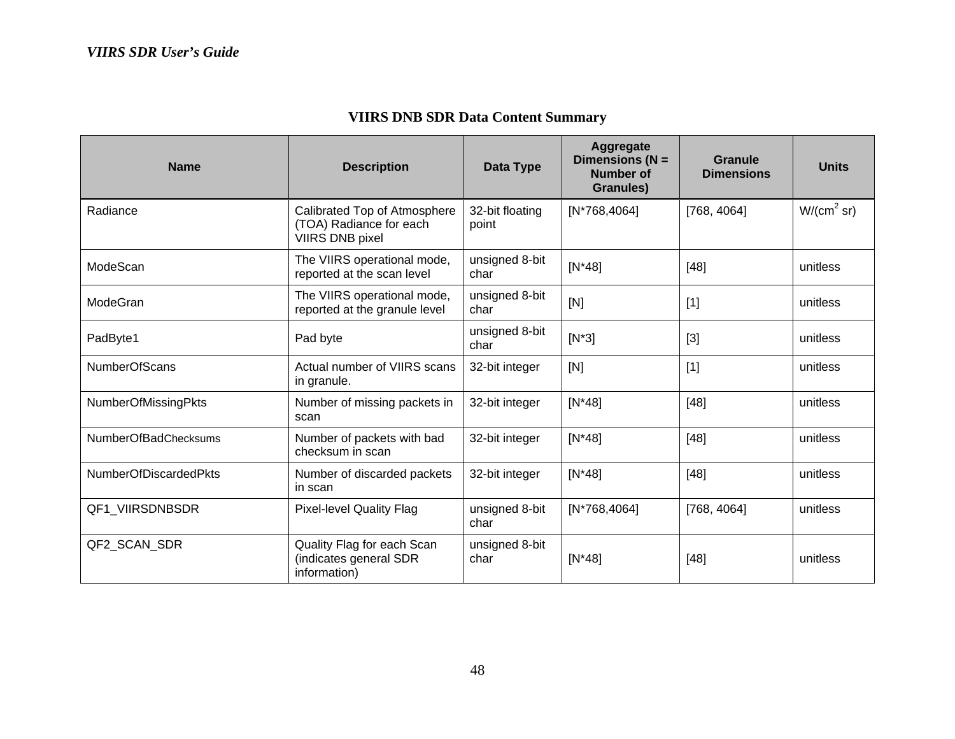| <b>VIIRS DNB SDR Data Content Summary</b> |  |  |  |
|-------------------------------------------|--|--|--|
|-------------------------------------------|--|--|--|

| <b>Name</b>                  | <b>Description</b>                                                                | <b>Data Type</b>         | Aggregate<br>Dimensions ( $N =$<br><b>Number of</b><br><b>Granules)</b> | Granule<br><b>Dimensions</b> | <b>Units</b>           |
|------------------------------|-----------------------------------------------------------------------------------|--------------------------|-------------------------------------------------------------------------|------------------------------|------------------------|
| Radiance                     | Calibrated Top of Atmosphere<br>(TOA) Radiance for each<br><b>VIIRS DNB pixel</b> | 32-bit floating<br>point | $[N*768, 4064]$                                                         | [768, 4064]                  | W/(cm <sup>2</sup> sr) |
| ModeScan                     | The VIIRS operational mode,<br>reported at the scan level                         | unsigned 8-bit<br>char   | $[N^*48]$                                                               | $[48]$                       | unitless               |
| ModeGran                     | The VIIRS operational mode,<br>reported at the granule level                      | unsigned 8-bit<br>char   | [N]                                                                     | $[1]$                        | unitless               |
| PadByte1                     | Pad byte                                                                          | unsigned 8-bit<br>char   | $[N^*3]$                                                                | $[3]$                        | unitless               |
| <b>NumberOfScans</b>         | Actual number of VIIRS scans<br>in granule.                                       | 32-bit integer           | [N]                                                                     | $[1]$                        | unitless               |
| <b>NumberOfMissingPkts</b>   | Number of missing packets in<br>scan                                              | 32-bit integer           | $[N*48]$                                                                | $[48]$                       | unitless               |
| <b>NumberOfBadChecksums</b>  | Number of packets with bad<br>checksum in scan                                    | 32-bit integer           | $[N*48]$                                                                | $[48]$                       | unitless               |
| <b>NumberOfDiscardedPkts</b> | Number of discarded packets<br>in scan                                            | 32-bit integer           | $[N*48]$                                                                | $[48]$                       | unitless               |
| QF1 VIIRSDNBSDR              | <b>Pixel-level Quality Flag</b>                                                   | unsigned 8-bit<br>char   | [N*768,4064]                                                            | [768, 4064]                  | unitless               |
| QF2 SCAN SDR                 | Quality Flag for each Scan<br>(indicates general SDR<br>information)              | unsigned 8-bit<br>char   | $[N^*48]$                                                               | $[48]$                       | unitless               |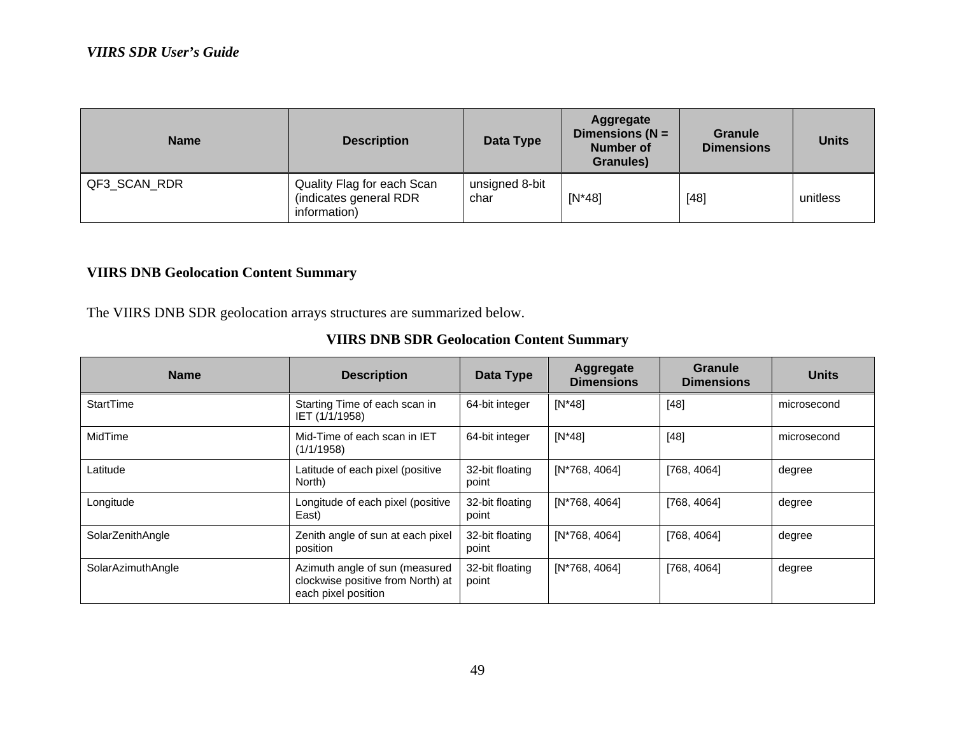| <b>Name</b>  | <b>Description</b>                                                   | Data Type              | Aggregate<br>Dimensions ( $N =$<br><b>Number of</b><br>Granules) | <b>Granule</b><br><b>Dimensions</b> | <b>Units</b> |
|--------------|----------------------------------------------------------------------|------------------------|------------------------------------------------------------------|-------------------------------------|--------------|
| QF3_SCAN_RDR | Quality Flag for each Scan<br>(indicates general RDR<br>information) | unsigned 8-bit<br>char | $[N^*48]$                                                        | $[48]$                              | unitless     |

### **VIIRS DNB Geolocation Content Summary**

The VIIRS DNB SDR geolocation arrays structures are summarized below.

| <b>Name</b>       | <b>Description</b>                                                                         | Data Type                   | Aggregate<br><b>Dimensions</b> | Granule<br><b>Dimensions</b> | <b>Units</b> |
|-------------------|--------------------------------------------------------------------------------------------|-----------------------------|--------------------------------|------------------------------|--------------|
| StartTime         | Starting Time of each scan in<br>IET (1/1/1958)                                            | 64-bit integer              | $[N^*48]$                      | $[48]$                       | microsecond  |
| MidTime           | Mid-Time of each scan in IET<br>(1/1/1958)                                                 | $[N^*48]$<br>64-bit integer |                                | $[48]$                       | microsecond  |
| Latitude          | Latitude of each pixel (positive<br>North)                                                 | 32-bit floating<br>point    | $[N*768, 4064]$                | [768, 4064]                  | degree       |
| Longitude         | Longitude of each pixel (positive<br>East)                                                 | 32-bit floating<br>point    | [N*768, 4064]                  | [768, 4064]                  | degree       |
| SolarZenithAngle  | Zenith angle of sun at each pixel<br>position                                              | 32-bit floating<br>point    | [N*768, 4064]                  | [768, 4064]                  | degree       |
| SolarAzimuthAngle | Azimuth angle of sun (measured<br>clockwise positive from North) at<br>each pixel position | 32-bit floating<br>point    | [N*768, 4064]                  | [768, 4064]                  | degree       |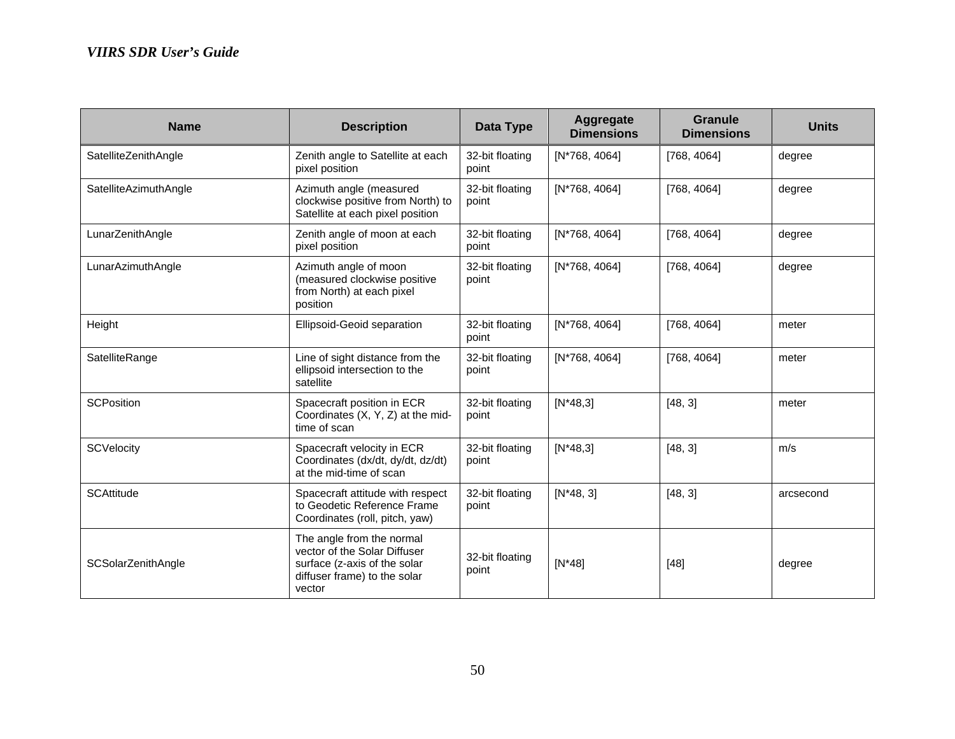| <b>Name</b>           | <b>Description</b>                                                                                                                  | <b>Data Type</b>                            | Aggregate<br><b>Dimensions</b> | Granule<br><b>Dimensions</b> | <b>Units</b> |
|-----------------------|-------------------------------------------------------------------------------------------------------------------------------------|---------------------------------------------|--------------------------------|------------------------------|--------------|
| SatelliteZenithAngle  | Zenith angle to Satellite at each<br>pixel position                                                                                 | 32-bit floating<br>point                    | [N*768, 4064]                  | [768, 4064]                  | degree       |
| SatelliteAzimuthAngle | Azimuth angle (measured<br>clockwise positive from North) to<br>Satellite at each pixel position                                    | 32-bit floating<br>$[N*768, 4064]$<br>point |                                | [768, 4064]                  | degree       |
| LunarZenithAngle      | Zenith angle of moon at each<br>pixel position                                                                                      | 32-bit floating<br>point                    | $[N*768, 4064]$                | [768, 4064]                  | degree       |
| LunarAzimuthAngle     | Azimuth angle of moon<br>(measured clockwise positive<br>from North) at each pixel<br>position                                      | 32-bit floating<br>point                    | [N*768, 4064]                  | [768, 4064]                  | degree       |
| Height                | Ellipsoid-Geoid separation                                                                                                          | 32-bit floating<br>point                    | [N*768, 4064]                  | [768, 4064]                  | meter        |
| SatelliteRange        | Line of sight distance from the<br>ellipsoid intersection to the<br>satellite                                                       | 32-bit floating<br>point                    | [N*768, 4064]                  | [768, 4064]                  | meter        |
| <b>SCPosition</b>     | Spacecraft position in ECR<br>Coordinates (X, Y, Z) at the mid-<br>time of scan                                                     | 32-bit floating<br>point                    | $[N*48,3]$                     | [48, 3]                      | meter        |
| <b>SCVelocity</b>     | Spacecraft velocity in ECR<br>Coordinates (dx/dt, dy/dt, dz/dt)<br>at the mid-time of scan                                          | 32-bit floating<br>point                    | $[N*48,3]$                     | [48, 3]                      | m/s          |
| <b>SCAttitude</b>     | Spacecraft attitude with respect<br>to Geodetic Reference Frame<br>Coordinates (roll, pitch, yaw)                                   | 32-bit floating<br>point                    | $[N*48, 3]$                    | [48, 3]                      | arcsecond    |
| SCSolarZenithAngle    | The angle from the normal<br>vector of the Solar Diffuser<br>surface (z-axis of the solar<br>diffuser frame) to the solar<br>vector | 32-bit floating<br>point                    | $[N^*48]$                      | $[48]$                       | degree       |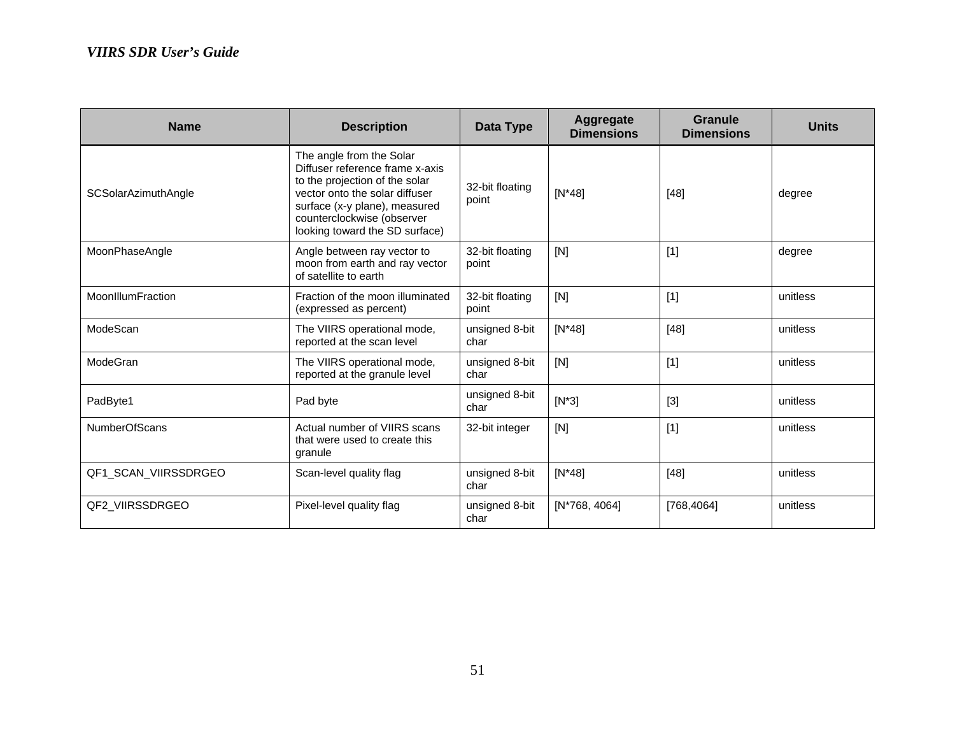| <b>Name</b>                | <b>Description</b>                                                                                                                                                                                                               | Data Type                       | Aggregate<br><b>Dimensions</b> | Granule<br><b>Dimensions</b> | <b>Units</b> |
|----------------------------|----------------------------------------------------------------------------------------------------------------------------------------------------------------------------------------------------------------------------------|---------------------------------|--------------------------------|------------------------------|--------------|
| <b>SCSolarAzimuthAngle</b> | The angle from the Solar<br>Diffuser reference frame x-axis<br>to the projection of the solar<br>vector onto the solar diffuser<br>surface (x-y plane), measured<br>counterclockwise (observer<br>looking toward the SD surface) | 32-bit floating<br>point        | $[N^*48]$                      | $[48]$                       | degree       |
| MoonPhaseAngle             | Angle between ray vector to<br>moon from earth and ray vector<br>of satellite to earth                                                                                                                                           | 32-bit floating<br>point        | [N]                            | $[1]$                        | degree       |
| MoonIllumFraction          | Fraction of the moon illuminated<br>(expressed as percent)                                                                                                                                                                       | 32-bit floating<br>[N]<br>point |                                | $[1]$                        | unitless     |
| ModeScan                   | The VIIRS operational mode,<br>reported at the scan level                                                                                                                                                                        | unsigned 8-bit<br>char          | $[N^*48]$                      | $[48]$                       | unitless     |
| ModeGran                   | The VIIRS operational mode,<br>reported at the granule level                                                                                                                                                                     | unsigned 8-bit<br>char          | [N]                            |                              | unitless     |
| PadByte1                   | Pad byte                                                                                                                                                                                                                         | unsigned 8-bit<br>char          | $[N^*3]$                       | $[3]$                        | unitless     |
| <b>NumberOfScans</b>       | Actual number of VIIRS scans<br>that were used to create this<br>granule                                                                                                                                                         | 32-bit integer                  | [N]                            | $[1]$                        | unitless     |
| QF1_SCAN_VIIRSSDRGEO       | Scan-level quality flag                                                                                                                                                                                                          | unsigned 8-bit<br>char          | $[N*48]$                       | $[48]$                       | unitless     |
| QF2_VIIRSSDRGEO            | Pixel-level quality flag                                                                                                                                                                                                         | unsigned 8-bit<br>char          | [N*768, 4064]                  | [768, 4064]                  | unitless     |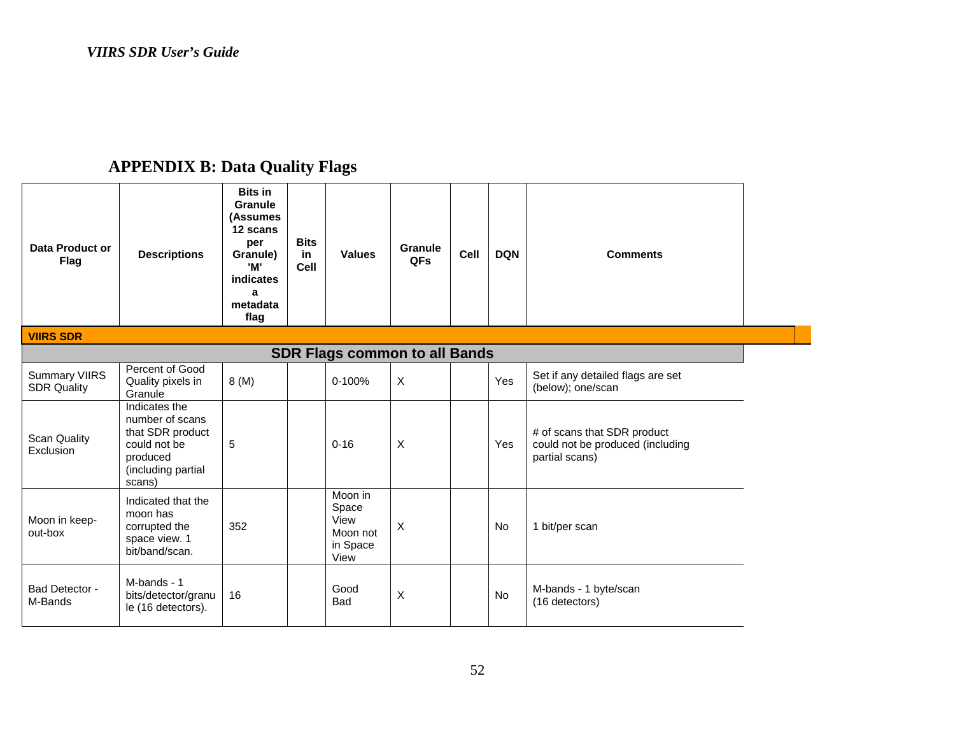# **APPENDIX B: Data Quality Flags**

| Data Product or<br><b>Flag</b>             | <b>Descriptions</b>                                                                                              | <b>Bits in</b><br><b>Granule</b><br>(Assumes<br>12 scans<br>per<br>Granule)<br>'M'<br>indicates<br>$\mathbf{a}$<br>metadata<br>flag | <b>Bits</b><br>in.<br><b>Cell</b> | <b>Values</b>                                            | Granule<br>QFs | Cell | <b>DQN</b> | <b>Comments</b>                                                                   |  |
|--------------------------------------------|------------------------------------------------------------------------------------------------------------------|-------------------------------------------------------------------------------------------------------------------------------------|-----------------------------------|----------------------------------------------------------|----------------|------|------------|-----------------------------------------------------------------------------------|--|
| <b>VIIRS SDR</b>                           |                                                                                                                  |                                                                                                                                     |                                   |                                                          |                |      |            |                                                                                   |  |
|                                            |                                                                                                                  |                                                                                                                                     |                                   | <b>SDR Flags common to all Bands</b>                     |                |      |            |                                                                                   |  |
| <b>Summary VIIRS</b><br><b>SDR Quality</b> | Percent of Good<br>Quality pixels in<br>Granule                                                                  | 8(M)                                                                                                                                |                                   | 0-100%                                                   | X              |      | Yes        | Set if any detailed flags are set<br>(below); one/scan                            |  |
| <b>Scan Quality</b><br>Exclusion           | Indicates the<br>number of scans<br>that SDR product<br>could not be<br>produced<br>(including partial<br>scans) | 5                                                                                                                                   |                                   | $0 - 16$                                                 | X              |      | Yes        | # of scans that SDR product<br>could not be produced (including<br>partial scans) |  |
| Moon in keep-<br>out-box                   | Indicated that the<br>moon has<br>corrupted the<br>space view. 1<br>bit/band/scan.                               | 352                                                                                                                                 |                                   | Moon in<br>Space<br>View<br>Moon not<br>in Space<br>View | $\sf X$        |      | <b>No</b>  | 1 bit/per scan                                                                    |  |
| Bad Detector -<br>M-Bands                  | M-bands - 1<br>bits/detector/granu<br>le (16 detectors).                                                         | 16                                                                                                                                  |                                   | Good<br><b>Bad</b>                                       | Χ              |      | No         | M-bands - 1 byte/scan<br>(16 detectors)                                           |  |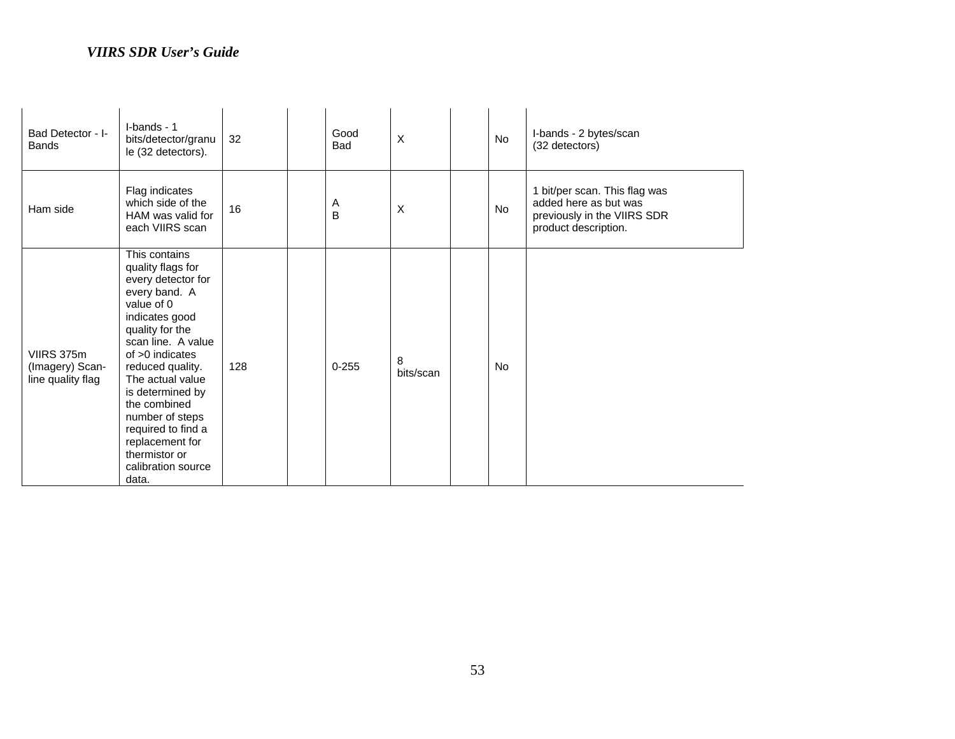| Bad Detector - I-<br><b>Bands</b>                  | I-bands - 1<br>bits/detector/granu<br>le (32 detectors).                                                                                                                                                                                                                                                                                                        | 32  | Good<br>Bad | $\times$       | No        | I-bands - 2 bytes/scan<br>(32 detectors)                                                                      |
|----------------------------------------------------|-----------------------------------------------------------------------------------------------------------------------------------------------------------------------------------------------------------------------------------------------------------------------------------------------------------------------------------------------------------------|-----|-------------|----------------|-----------|---------------------------------------------------------------------------------------------------------------|
| Ham side                                           | Flag indicates<br>which side of the<br>HAM was valid for<br>each VIIRS scan                                                                                                                                                                                                                                                                                     | 16  | Α<br>B      | $\times$       | No        | 1 bit/per scan. This flag was<br>added here as but was<br>previously in the VIIRS SDR<br>product description. |
| VIIRS 375m<br>(Imagery) Scan-<br>line quality flag | This contains<br>quality flags for<br>every detector for<br>every band. A<br>value of 0<br>indicates good<br>quality for the<br>scan line. A value<br>of $>0$ indicates<br>reduced quality.<br>The actual value<br>is determined by<br>the combined<br>number of steps<br>required to find a<br>replacement for<br>thermistor or<br>calibration source<br>data. | 128 | $0 - 255$   | 8<br>bits/scan | <b>No</b> |                                                                                                               |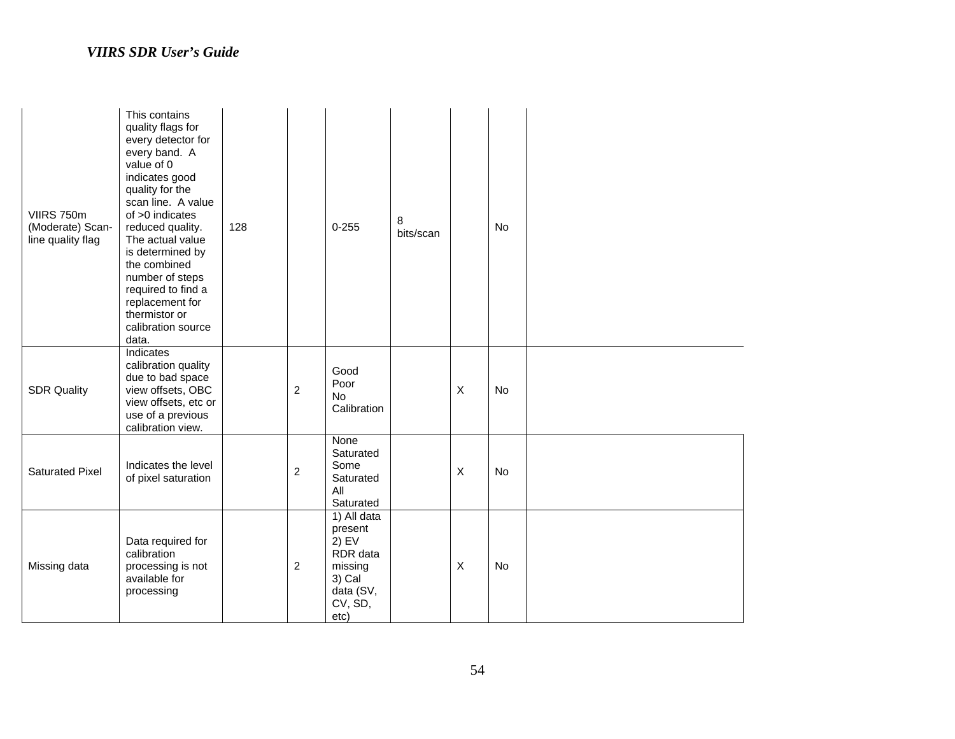| VIIRS 750m<br>(Moderate) Scan-<br>line quality flag | This contains<br>quality flags for<br>every detector for<br>every band. A<br>value of 0<br>indicates good<br>quality for the<br>scan line. A value<br>of $>0$ indicates<br>reduced quality.<br>The actual value<br>is determined by<br>the combined<br>number of steps<br>required to find a<br>replacement for<br>thermistor or<br>calibration source<br>data. | 128 |                | $0 - 255$                                                                                          | 8<br>bits/scan |              | No |  |
|-----------------------------------------------------|-----------------------------------------------------------------------------------------------------------------------------------------------------------------------------------------------------------------------------------------------------------------------------------------------------------------------------------------------------------------|-----|----------------|----------------------------------------------------------------------------------------------------|----------------|--------------|----|--|
| <b>SDR Quality</b>                                  | Indicates<br>calibration quality<br>due to bad space<br>view offsets, OBC<br>view offsets, etc or<br>use of a previous<br>calibration view.                                                                                                                                                                                                                     |     | $\overline{c}$ | Good<br>Poor<br><b>No</b><br>Calibration                                                           |                | $\mathsf{X}$ | No |  |
| <b>Saturated Pixel</b>                              | Indicates the level<br>of pixel saturation                                                                                                                                                                                                                                                                                                                      |     | $\overline{c}$ | None<br>Saturated<br>Some<br>Saturated<br>All<br>Saturated                                         |                | $\mathsf X$  | No |  |
| Missing data                                        | Data required for<br>calibration<br>processing is not<br>available for<br>processing                                                                                                                                                                                                                                                                            |     | $\overline{2}$ | 1) All data<br>present<br>$2)$ EV<br>RDR data<br>missing<br>3) Cal<br>data (SV,<br>CV, SD,<br>etc) |                | $\mathsf{X}$ | No |  |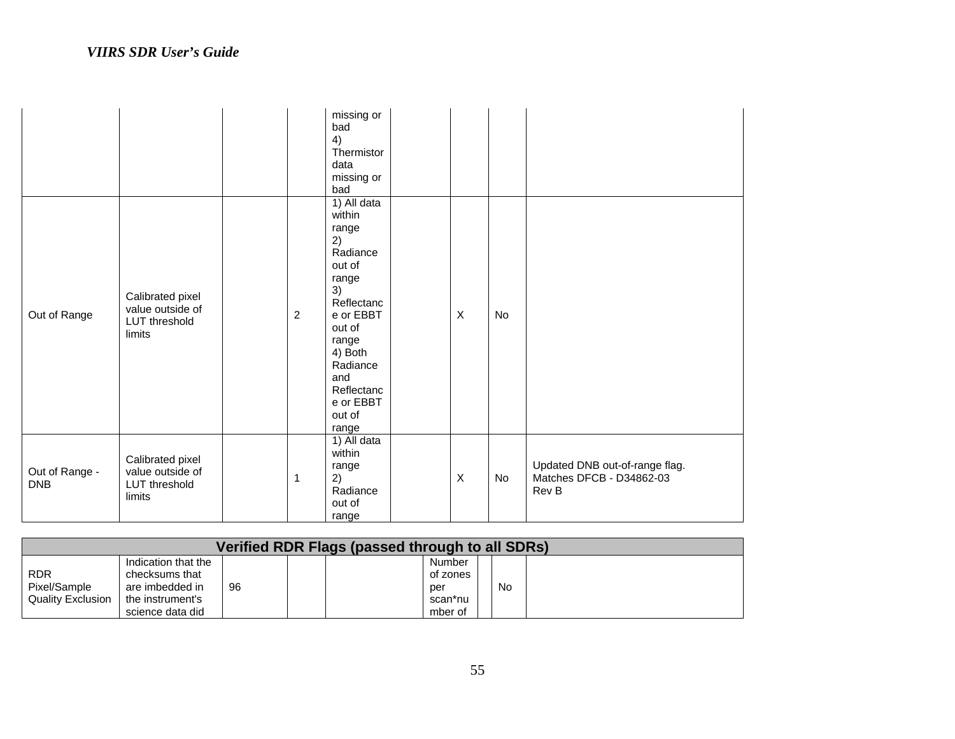|                              |                                                                 |                | missing or<br>bad<br>4)<br>Thermistor<br>data<br>missing or<br>bad                                                                                                                                  |              |    |                                                                     |
|------------------------------|-----------------------------------------------------------------|----------------|-----------------------------------------------------------------------------------------------------------------------------------------------------------------------------------------------------|--------------|----|---------------------------------------------------------------------|
| Out of Range                 | Calibrated pixel<br>value outside of<br>LUT threshold<br>limits | $\overline{2}$ | 1) All data<br>within<br>range<br>2)<br>Radiance<br>out of<br>range<br>3)<br>Reflectanc<br>e or EBBT<br>out of<br>range<br>4) Both<br>Radiance<br>and<br>Reflectanc<br>e or EBBT<br>out of<br>range | $\mathsf{X}$ | No |                                                                     |
| Out of Range -<br><b>DNB</b> | Calibrated pixel<br>value outside of<br>LUT threshold<br>limits | 1              | 1) All data<br>within<br>range<br>2)<br>Radiance<br>out of<br>range                                                                                                                                 | $\mathsf{X}$ | No | Updated DNB out-of-range flag.<br>Matches DFCB - D34862-03<br>Rev B |

| Verified RDR Flags (passed through to all SDRs) |                     |    |  |  |          |  |           |  |  |  |
|-------------------------------------------------|---------------------|----|--|--|----------|--|-----------|--|--|--|
|                                                 | Indication that the |    |  |  | Number   |  |           |  |  |  |
| <b>RDR</b>                                      | checksums that      |    |  |  | of zones |  |           |  |  |  |
| Pixel/Sample                                    | are imbedded in     | 96 |  |  | per      |  | <b>No</b> |  |  |  |
| <b>Quality Exclusion</b>                        | the instrument's    |    |  |  | scan*nu  |  |           |  |  |  |
|                                                 | science data did    |    |  |  | mber of  |  |           |  |  |  |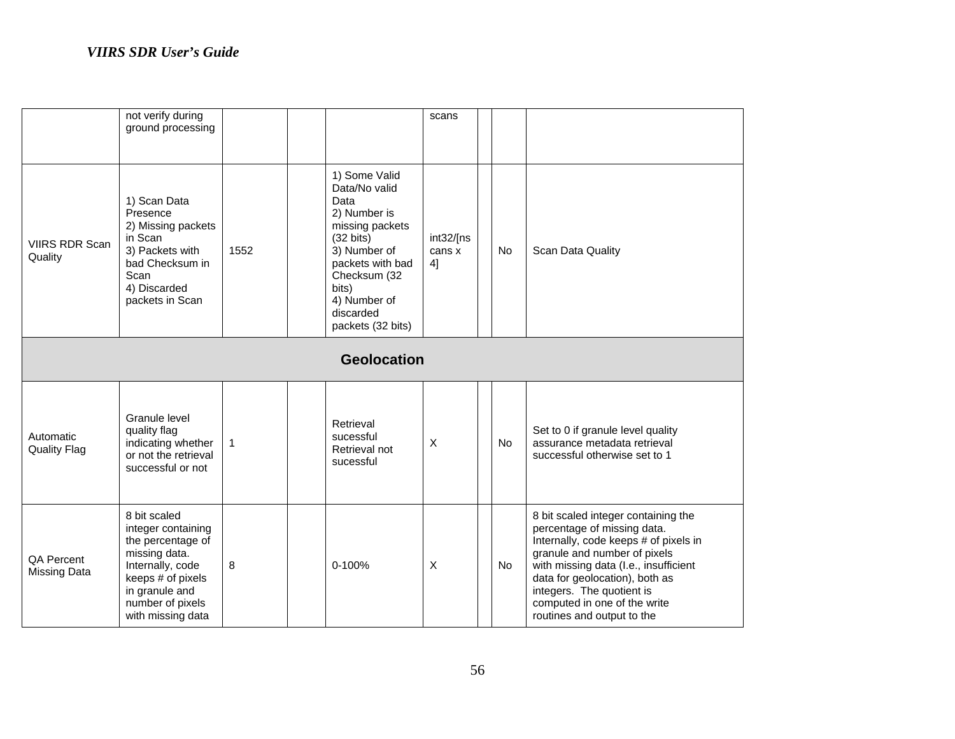|                                          | not verify during<br>ground processing                                                                                                                                       |      |  |                                                                                                                                                                                                                 | scans                     |  |           |                                                                                                                                                                                                                                                                                                                   |  |
|------------------------------------------|------------------------------------------------------------------------------------------------------------------------------------------------------------------------------|------|--|-----------------------------------------------------------------------------------------------------------------------------------------------------------------------------------------------------------------|---------------------------|--|-----------|-------------------------------------------------------------------------------------------------------------------------------------------------------------------------------------------------------------------------------------------------------------------------------------------------------------------|--|
| <b>VIIRS RDR Scan</b><br>Quality         | 1) Scan Data<br>Presence<br>2) Missing packets<br>in Scan<br>3) Packets with<br>bad Checksum in<br>Scan<br>4) Discarded<br>packets in Scan                                   | 1552 |  | 1) Some Valid<br>Data/No valid<br>Data<br>2) Number is<br>missing packets<br>$(32 \text{ bits})$<br>3) Number of<br>packets with bad<br>Checksum (32<br>bits)<br>4) Number of<br>discarded<br>packets (32 bits) | int32/[ns<br>cans x<br>4] |  | No        | Scan Data Quality                                                                                                                                                                                                                                                                                                 |  |
| <b>Geolocation</b>                       |                                                                                                                                                                              |      |  |                                                                                                                                                                                                                 |                           |  |           |                                                                                                                                                                                                                                                                                                                   |  |
| Automatic<br><b>Quality Flag</b>         | Granule level<br>quality flag<br>indicating whether<br>or not the retrieval<br>successful or not                                                                             | 1    |  | Retrieval<br>sucessful<br>Retrieval not<br>sucessful                                                                                                                                                            | X                         |  | No        | Set to 0 if granule level quality<br>assurance metadata retrieval<br>successful otherwise set to 1                                                                                                                                                                                                                |  |
| <b>QA Percent</b><br><b>Missing Data</b> | 8 bit scaled<br>integer containing<br>the percentage of<br>missing data.<br>Internally, code<br>keeps # of pixels<br>in granule and<br>number of pixels<br>with missing data | 8    |  | 0-100%                                                                                                                                                                                                          | $\sf X$                   |  | <b>No</b> | 8 bit scaled integer containing the<br>percentage of missing data.<br>Internally, code keeps # of pixels in<br>granule and number of pixels<br>with missing data (I.e., insufficient<br>data for geolocation), both as<br>integers. The quotient is<br>computed in one of the write<br>routines and output to the |  |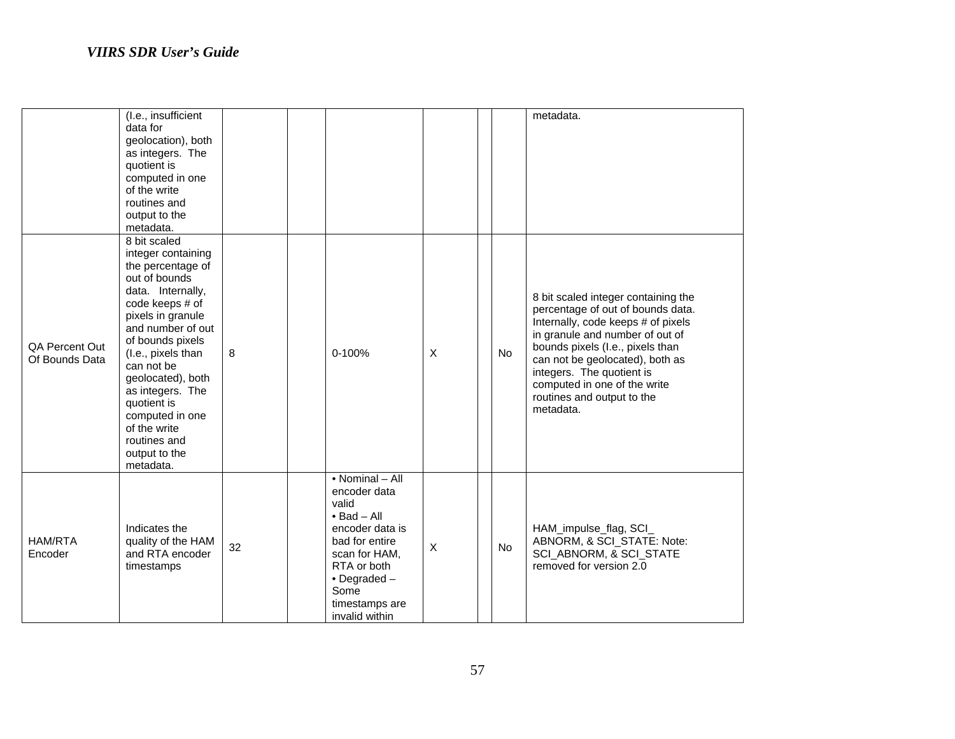|                                  | (I.e., insufficient<br>data for<br>geolocation), both<br>as integers. The<br>quotient is<br>computed in one<br>of the write<br>routines and<br>output to the<br>metadata.                                                                                                                                                                                   |    |                                                                                                                                                                                                            |   |           | metadata.                                                                                                                                                                                                                                                                                                                        |
|----------------------------------|-------------------------------------------------------------------------------------------------------------------------------------------------------------------------------------------------------------------------------------------------------------------------------------------------------------------------------------------------------------|----|------------------------------------------------------------------------------------------------------------------------------------------------------------------------------------------------------------|---|-----------|----------------------------------------------------------------------------------------------------------------------------------------------------------------------------------------------------------------------------------------------------------------------------------------------------------------------------------|
| QA Percent Out<br>Of Bounds Data | 8 bit scaled<br>integer containing<br>the percentage of<br>out of bounds<br>data. Internally,<br>code keeps # of<br>pixels in granule<br>and number of out<br>of bounds pixels<br>(I.e., pixels than<br>can not be<br>geolocated), both<br>as integers. The<br>quotient is<br>computed in one<br>of the write<br>routines and<br>output to the<br>metadata. | 8  | $0 - 100%$                                                                                                                                                                                                 | X | No        | 8 bit scaled integer containing the<br>percentage of out of bounds data.<br>Internally, code keeps # of pixels<br>in granule and number of out of<br>bounds pixels (I.e., pixels than<br>can not be geolocated), both as<br>integers. The quotient is<br>computed in one of the write<br>routines and output to the<br>metadata. |
| <b>HAM/RTA</b><br>Encoder        | Indicates the<br>quality of the HAM<br>and RTA encoder<br>timestamps                                                                                                                                                                                                                                                                                        | 32 | • Nominal - All<br>encoder data<br>valid<br>$\bullet$ Bad - All<br>encoder data is<br>bad for entire<br>scan for HAM,<br>RTA or both<br>$\bullet$ Degraded $-$<br>Some<br>timestamps are<br>invalid within | X | <b>No</b> | HAM_impulse_flag, SCI_<br>ABNORM, & SCI_STATE: Note:<br>SCI_ABNORM, & SCI_STATE<br>removed for version 2.0                                                                                                                                                                                                                       |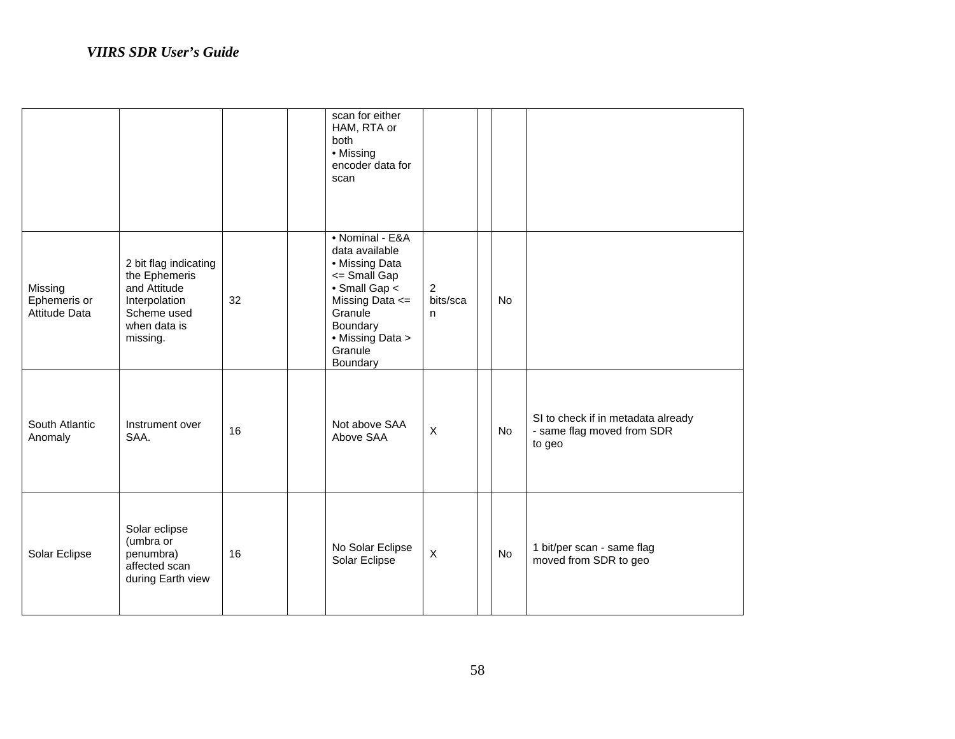|                                          |                                                                                                                    |    | scan for either<br>HAM, RTA or<br>both<br>• Missing<br>encoder data for<br>scan                                                                                           |                                 |           |                                                                            |
|------------------------------------------|--------------------------------------------------------------------------------------------------------------------|----|---------------------------------------------------------------------------------------------------------------------------------------------------------------------------|---------------------------------|-----------|----------------------------------------------------------------------------|
| Missing<br>Ephemeris or<br>Attitude Data | 2 bit flag indicating<br>the Ephemeris<br>and Attitude<br>Interpolation<br>Scheme used<br>when data is<br>missing. | 32 | • Nominal - E&A<br>data available<br>• Missing Data<br><= Small Gap<br>• Small Gap <<br>Missing Data <=<br>Granule<br>Boundary<br>• Missing Data ><br>Granule<br>Boundary | $\overline{2}$<br>bits/sca<br>n | <b>No</b> |                                                                            |
| South Atlantic<br>Anomaly                | Instrument over<br>SAA.                                                                                            | 16 | Not above SAA<br>Above SAA                                                                                                                                                | $\mathsf X$                     | No        | SI to check if in metadata already<br>- same flag moved from SDR<br>to geo |
| Solar Eclipse                            | Solar eclipse<br>(umbra or<br>penumbra)<br>affected scan<br>during Earth view                                      | 16 | No Solar Eclipse<br>Solar Eclipse                                                                                                                                         | $\mathsf{X}$                    | No        | 1 bit/per scan - same flag<br>moved from SDR to geo                        |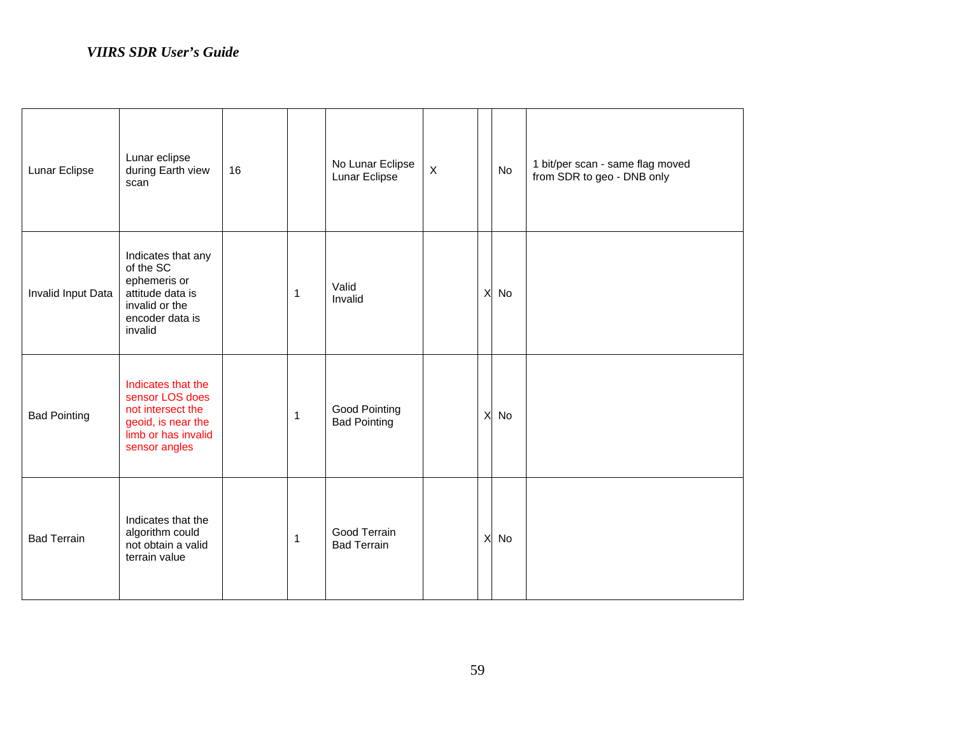| Lunar Eclipse       | Lunar eclipse<br>during Earth view<br>scan                                                                               | 16 |              | No Lunar Eclipse<br>Lunar Eclipse    | $\mathsf X$ |          | No | 1 bit/per scan - same flag moved<br>from SDR to geo - DNB only |
|---------------------|--------------------------------------------------------------------------------------------------------------------------|----|--------------|--------------------------------------|-------------|----------|----|----------------------------------------------------------------|
| Invalid Input Data  | Indicates that any<br>of the SC<br>ephemeris or<br>attitude data is<br>invalid or the<br>encoder data is<br>invalid      |    | 1            | Valid<br>Invalid                     |             | X        | No |                                                                |
| <b>Bad Pointing</b> | Indicates that the<br>sensor LOS does<br>not intersect the<br>geoid, is near the<br>limb or has invalid<br>sensor angles |    | $\mathbf{1}$ | Good Pointing<br><b>Bad Pointing</b> |             | X        | No |                                                                |
| <b>Bad Terrain</b>  | Indicates that the<br>algorithm could<br>not obtain a valid<br>terrain value                                             |    | 1            | Good Terrain<br><b>Bad Terrain</b>   |             | $\times$ | No |                                                                |